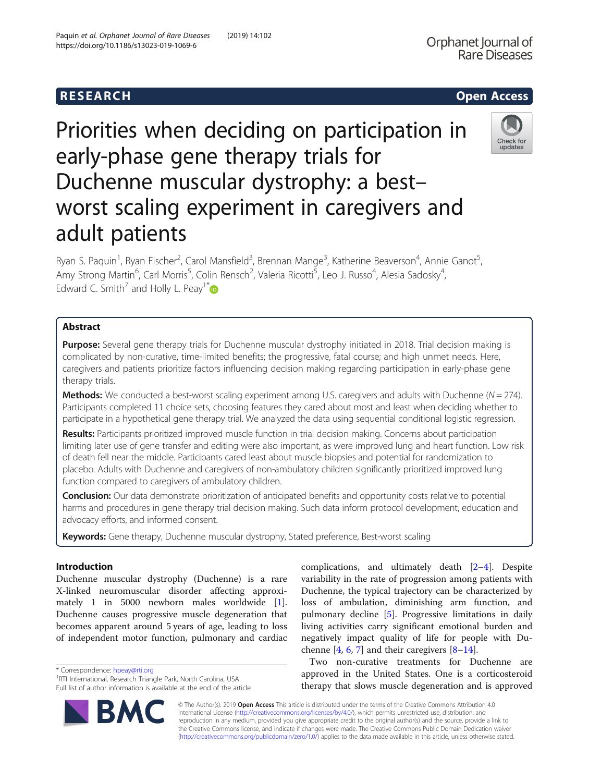# **RESEARCH CHEAR CHEAR CHEAR CHEAR CHEAR CHEAR CHEAR CHEAR CHEAR CHEAR CHEAR CHEAR CHEAR CHEAR CHEAR CHEAR CHEAR**

https://doi.org/10.1186/s13023-019-1069-6

# Priorities when deciding on participation in early-phase gene therapy trials for Duchenne muscular dystrophy: a best– worst scaling experiment in caregivers and adult patients

Ryan S. Paquin<sup>1</sup>, Ryan Fischer<sup>2</sup>, Carol Mansfield<sup>3</sup>, Brennan Mange<sup>3</sup>, Katherine Beaverson<sup>4</sup>, Annie Ganot<sup>5</sup> , Amy Strong Martin<sup>6</sup>, Carl Morris<sup>5</sup>, Colin Rensch<sup>2</sup>, Valeria Ricotti<sup>5</sup>, Leo J. Russo<sup>4</sup>, Alesia Sadosky<sup>4</sup> , Edward C. Smith<sup>7</sup> and Holly L. Peay<sup>1\*</sup>

# Abstract

Purpose: Several gene therapy trials for Duchenne muscular dystrophy initiated in 2018. Trial decision making is complicated by non-curative, time-limited benefits; the progressive, fatal course; and high unmet needs. Here, caregivers and patients prioritize factors influencing decision making regarding participation in early-phase gene therapy trials.

**Methods:** We conducted a best-worst scaling experiment among U.S. caregivers and adults with Duchenne ( $N = 274$ ). Participants completed 11 choice sets, choosing features they cared about most and least when deciding whether to participate in a hypothetical gene therapy trial. We analyzed the data using sequential conditional logistic regression.

Results: Participants prioritized improved muscle function in trial decision making. Concerns about participation limiting later use of gene transfer and editing were also important, as were improved lung and heart function. Low risk of death fell near the middle. Participants cared least about muscle biopsies and potential for randomization to placebo. Adults with Duchenne and caregivers of non-ambulatory children significantly prioritized improved lung function compared to caregivers of ambulatory children.

Conclusion: Our data demonstrate prioritization of anticipated benefits and opportunity costs relative to potential harms and procedures in gene therapy trial decision making. Such data inform protocol development, education and advocacy efforts, and informed consent.

Keywords: Gene therapy, Duchenne muscular dystrophy, Stated preference, Best-worst scaling

# Introduction

Duchenne muscular dystrophy (Duchenne) is a rare X-linked neuromuscular disorder affecting approximately 1 in 5000 newborn males worldwide [\[1](#page-7-0)]. Duchenne causes progressive muscle degeneration that becomes apparent around 5 years of age, leading to loss of independent motor function, pulmonary and cardiac

\* Correspondence: [hpeay@rti.org](mailto:hpeay@rti.org) <sup>1</sup>

© The Author(s). 2019 Open Access This article is distributed under the terms of the Creative Commons Attribution 4.0 International License [\(http://creativecommons.org/licenses/by/4.0/](http://creativecommons.org/licenses/by/4.0/)), which permits unrestricted use, distribution, and reproduction in any medium, provided you give appropriate credit to the original author(s) and the source, provide a link to the Creative Commons license, and indicate if changes were made. The Creative Commons Public Domain Dedication waiver [\(http://creativecommons.org/publicdomain/zero/1.0/](http://creativecommons.org/publicdomain/zero/1.0/)) applies to the data made available in this article, unless otherwise stated.

complications, and ultimately death [[2](#page-7-0)–[4](#page-7-0)]. Despite variability in the rate of progression among patients with Duchenne, the typical trajectory can be characterized by loss of ambulation, diminishing arm function, and pulmonary decline [\[5](#page-7-0)]. Progressive limitations in daily living activities carry significant emotional burden and negatively impact quality of life for people with Duchenne  $[4, 6, 7]$  $[4, 6, 7]$  $[4, 6, 7]$  $[4, 6, 7]$  $[4, 6, 7]$  $[4, 6, 7]$  and their caregivers  $[8-14]$  $[8-14]$  $[8-14]$  $[8-14]$  $[8-14]$ .

Two non-curative treatments for Duchenne are approved in the United States. One is a corticosteroid therapy that slows muscle degeneration and is approved





**Rare Diseases** 

Orphanet Journal of

<sup>&</sup>lt;sup>1</sup>RTI International, Research Triangle Park, North Carolina, USA Full list of author information is available at the end of the article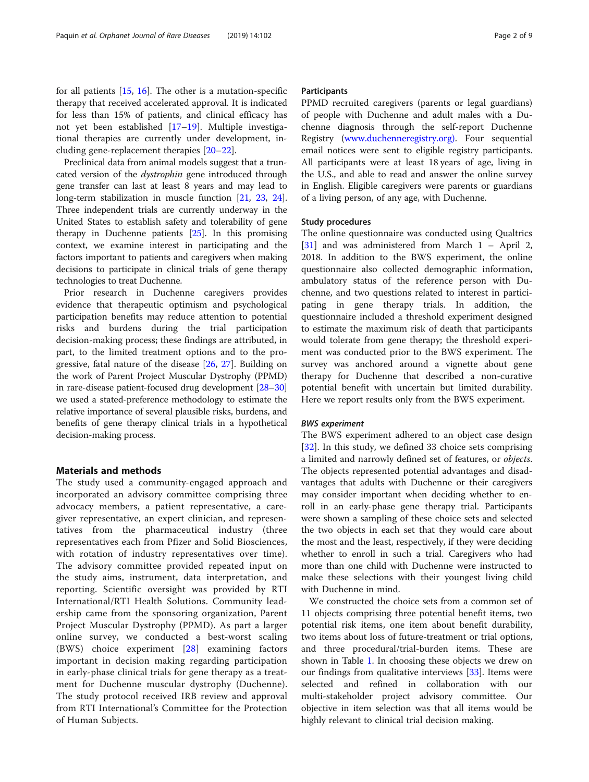for all patients [\[15](#page-8-0), [16\]](#page-8-0). The other is a mutation-specific therapy that received accelerated approval. It is indicated for less than 15% of patients, and clinical efficacy has not yet been established [[17](#page-8-0)–[19](#page-8-0)]. Multiple investigational therapies are currently under development, including gene-replacement therapies [\[20](#page-8-0)–[22](#page-8-0)].

Preclinical data from animal models suggest that a truncated version of the dystrophin gene introduced through gene transfer can last at least 8 years and may lead to long-term stabilization in muscle function [\[21,](#page-8-0) [23,](#page-8-0) [24](#page-8-0)]. Three independent trials are currently underway in the United States to establish safety and tolerability of gene therapy in Duchenne patients [\[25\]](#page-8-0). In this promising context, we examine interest in participating and the factors important to patients and caregivers when making decisions to participate in clinical trials of gene therapy technologies to treat Duchenne.

Prior research in Duchenne caregivers provides evidence that therapeutic optimism and psychological participation benefits may reduce attention to potential risks and burdens during the trial participation decision-making process; these findings are attributed, in part, to the limited treatment options and to the progressive, fatal nature of the disease [\[26](#page-8-0), [27\]](#page-8-0). Building on the work of Parent Project Muscular Dystrophy (PPMD) in rare-disease patient-focused drug development [\[28](#page-8-0)–[30](#page-8-0)] we used a stated-preference methodology to estimate the relative importance of several plausible risks, burdens, and benefits of gene therapy clinical trials in a hypothetical decision-making process.

# Materials and methods

The study used a community-engaged approach and incorporated an advisory committee comprising three advocacy members, a patient representative, a caregiver representative, an expert clinician, and representatives from the pharmaceutical industry (three representatives each from Pfizer and Solid Biosciences, with rotation of industry representatives over time). The advisory committee provided repeated input on the study aims, instrument, data interpretation, and reporting. Scientific oversight was provided by RTI International/RTI Health Solutions. Community leadership came from the sponsoring organization, Parent Project Muscular Dystrophy (PPMD). As part a larger online survey, we conducted a best-worst scaling (BWS) choice experiment [[28](#page-8-0)] examining factors important in decision making regarding participation in early-phase clinical trials for gene therapy as a treatment for Duchenne muscular dystrophy (Duchenne). The study protocol received IRB review and approval from RTI International's Committee for the Protection of Human Subjects.

# **Participants**

PPMD recruited caregivers (parents or legal guardians) of people with Duchenne and adult males with a Duchenne diagnosis through the self-report Duchenne Registry [\(www.duchenneregistry.org\)](http://www.duchenneregistry.org). Four sequential email notices were sent to eligible registry participants. All participants were at least 18 years of age, living in the U.S., and able to read and answer the online survey in English. Eligible caregivers were parents or guardians of a living person, of any age, with Duchenne.

# Study procedures

The online questionnaire was conducted using Qualtrics [[31\]](#page-8-0) and was administered from March 1 – April 2, 2018. In addition to the BWS experiment, the online questionnaire also collected demographic information, ambulatory status of the reference person with Duchenne, and two questions related to interest in participating in gene therapy trials. In addition, the questionnaire included a threshold experiment designed to estimate the maximum risk of death that participants would tolerate from gene therapy; the threshold experiment was conducted prior to the BWS experiment. The survey was anchored around a vignette about gene therapy for Duchenne that described a non-curative potential benefit with uncertain but limited durability. Here we report results only from the BWS experiment.

### BWS experiment

The BWS experiment adhered to an object case design [[32\]](#page-8-0). In this study, we defined 33 choice sets comprising a limited and narrowly defined set of features, or objects. The objects represented potential advantages and disadvantages that adults with Duchenne or their caregivers may consider important when deciding whether to enroll in an early-phase gene therapy trial. Participants were shown a sampling of these choice sets and selected the two objects in each set that they would care about the most and the least, respectively, if they were deciding whether to enroll in such a trial. Caregivers who had more than one child with Duchenne were instructed to make these selections with their youngest living child with Duchenne in mind.

We constructed the choice sets from a common set of 11 objects comprising three potential benefit items, two potential risk items, one item about benefit durability, two items about loss of future-treatment or trial options, and three procedural/trial-burden items. These are shown in Table [1](#page-2-0). In choosing these objects we drew on our findings from qualitative interviews [[33](#page-8-0)]. Items were selected and refined in collaboration with our multi-stakeholder project advisory committee. Our objective in item selection was that all items would be highly relevant to clinical trial decision making.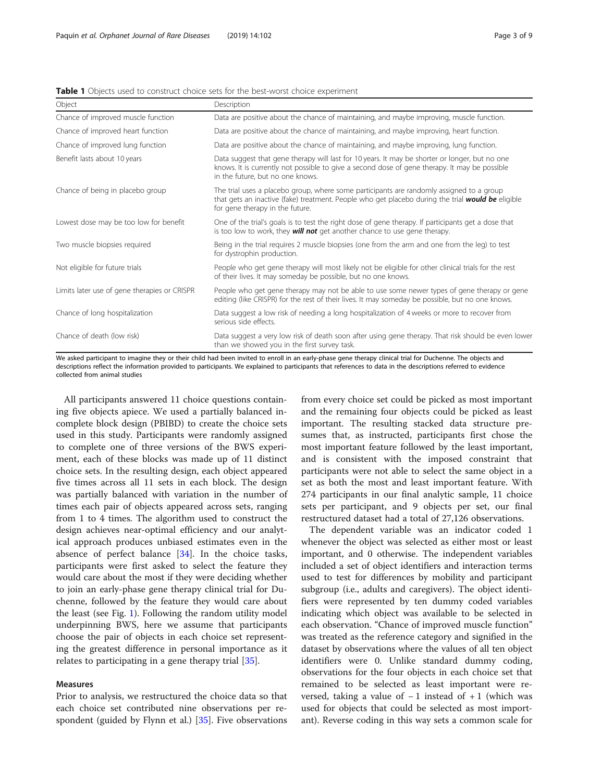<span id="page-2-0"></span>

| <b>Table 1</b> Objects used to construct choice sets for the best-worst choice experiment |
|-------------------------------------------------------------------------------------------|
|                                                                                           |

| Object                                       | Description                                                                                                                                                                                                                         |
|----------------------------------------------|-------------------------------------------------------------------------------------------------------------------------------------------------------------------------------------------------------------------------------------|
| Chance of improved muscle function           | Data are positive about the chance of maintaining, and maybe improving, muscle function.                                                                                                                                            |
| Chance of improved heart function            | Data are positive about the chance of maintaining, and maybe improving, heart function.                                                                                                                                             |
| Chance of improved lung function             | Data are positive about the chance of maintaining, and maybe improving, lung function.                                                                                                                                              |
| Benefit lasts about 10 years                 | Data suggest that gene therapy will last for 10 years. It may be shorter or longer, but no one<br>knows. It is currently not possible to give a second dose of gene therapy. It may be possible<br>in the future, but no one knows. |
| Chance of being in placebo group             | The trial uses a placebo group, where some participants are randomly assigned to a group<br>that gets an inactive (fake) treatment. People who get placebo during the trial would be eligible<br>for gene therapy in the future.    |
| Lowest dose may be too low for benefit       | One of the trial's goals is to test the right dose of gene therapy. If participants get a dose that<br>is too low to work, they <b>will not</b> get another chance to use gene therapy.                                             |
| Two muscle biopsies required                 | Being in the trial requires 2 muscle biopsies (one from the arm and one from the leg) to test<br>for dystrophin production.                                                                                                         |
| Not eligible for future trials               | People who get gene therapy will most likely not be eligible for other clinical trials for the rest<br>of their lives. It may someday be possible, but no one knows.                                                                |
| Limits later use of gene therapies or CRISPR | People who get gene therapy may not be able to use some newer types of gene therapy or gene<br>editing (like CRISPR) for the rest of their lives. It may someday be possible, but no one knows.                                     |
| Chance of long hospitalization               | Data suggest a low risk of needing a long hospitalization of 4 weeks or more to recover from<br>serious side effects.                                                                                                               |
| Chance of death (low risk)                   | Data suggest a very low risk of death soon after using gene therapy. That risk should be even lower<br>than we showed you in the first survey task.                                                                                 |

We asked participant to imagine they or their child had been invited to enroll in an early-phase gene therapy clinical trial for Duchenne. The objects and descriptions reflect the information provided to participants. We explained to participants that references to data in the descriptions referred to evidence collected from animal studies

All participants answered 11 choice questions containing five objects apiece. We used a partially balanced incomplete block design (PBIBD) to create the choice sets used in this study. Participants were randomly assigned to complete one of three versions of the BWS experiment, each of these blocks was made up of 11 distinct choice sets. In the resulting design, each object appeared five times across all 11 sets in each block. The design was partially balanced with variation in the number of times each pair of objects appeared across sets, ranging from 1 to 4 times. The algorithm used to construct the design achieves near-optimal efficiency and our analytical approach produces unbiased estimates even in the absence of perfect balance [[34\]](#page-8-0). In the choice tasks, participants were first asked to select the feature they would care about the most if they were deciding whether to join an early-phase gene therapy clinical trial for Duchenne, followed by the feature they would care about the least (see Fig. [1\)](#page-3-0). Following the random utility model underpinning BWS, here we assume that participants choose the pair of objects in each choice set representing the greatest difference in personal importance as it relates to participating in a gene therapy trial [[35\]](#page-8-0).

# Measures

Prior to analysis, we restructured the choice data so that each choice set contributed nine observations per respondent (guided by Flynn et al.) [[35\]](#page-8-0). Five observations

from every choice set could be picked as most important and the remaining four objects could be picked as least important. The resulting stacked data structure presumes that, as instructed, participants first chose the most important feature followed by the least important, and is consistent with the imposed constraint that participants were not able to select the same object in a set as both the most and least important feature. With 274 participants in our final analytic sample, 11 choice sets per participant, and 9 objects per set, our final restructured dataset had a total of 27,126 observations.

The dependent variable was an indicator coded 1 whenever the object was selected as either most or least important, and 0 otherwise. The independent variables included a set of object identifiers and interaction terms used to test for differences by mobility and participant subgroup (i.e., adults and caregivers). The object identifiers were represented by ten dummy coded variables indicating which object was available to be selected in each observation. "Chance of improved muscle function" was treated as the reference category and signified in the dataset by observations where the values of all ten object identifiers were 0. Unlike standard dummy coding, observations for the four objects in each choice set that remained to be selected as least important were reversed, taking a value of − 1 instead of + 1 (which was used for objects that could be selected as most important). Reverse coding in this way sets a common scale for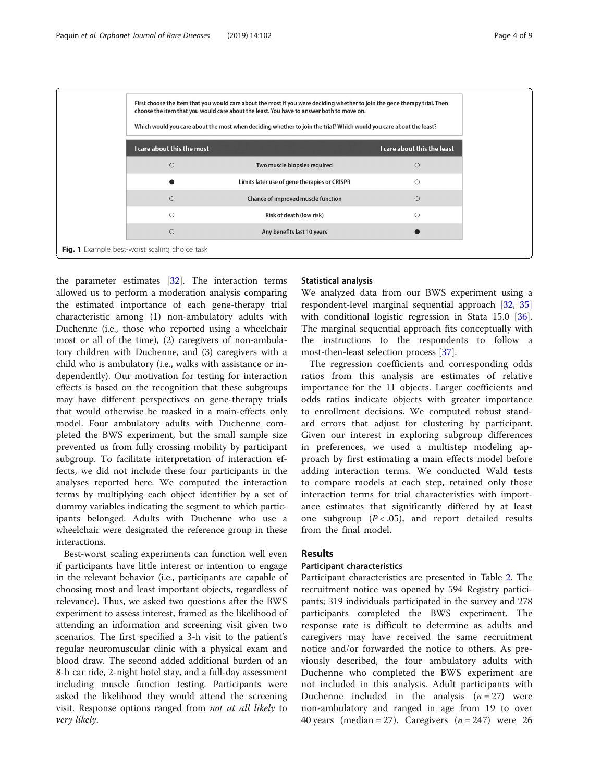<span id="page-3-0"></span>

the parameter estimates [[32\]](#page-8-0). The interaction terms allowed us to perform a moderation analysis comparing the estimated importance of each gene-therapy trial characteristic among (1) non-ambulatory adults with Duchenne (i.e., those who reported using a wheelchair most or all of the time), (2) caregivers of non-ambulatory children with Duchenne, and (3) caregivers with a child who is ambulatory (i.e., walks with assistance or independently). Our motivation for testing for interaction effects is based on the recognition that these subgroups may have different perspectives on gene-therapy trials that would otherwise be masked in a main-effects only model. Four ambulatory adults with Duchenne completed the BWS experiment, but the small sample size prevented us from fully crossing mobility by participant subgroup. To facilitate interpretation of interaction effects, we did not include these four participants in the analyses reported here. We computed the interaction terms by multiplying each object identifier by a set of dummy variables indicating the segment to which participants belonged. Adults with Duchenne who use a wheelchair were designated the reference group in these interactions.

Best-worst scaling experiments can function well even if participants have little interest or intention to engage in the relevant behavior (i.e., participants are capable of choosing most and least important objects, regardless of relevance). Thus, we asked two questions after the BWS experiment to assess interest, framed as the likelihood of attending an information and screening visit given two scenarios. The first specified a 3-h visit to the patient's regular neuromuscular clinic with a physical exam and blood draw. The second added additional burden of an 8-h car ride, 2-night hotel stay, and a full-day assessment including muscle function testing. Participants were asked the likelihood they would attend the screening visit. Response options ranged from not at all likely to very likely.

# Statistical analysis

We analyzed data from our BWS experiment using a respondent-level marginal sequential approach [[32,](#page-8-0) [35](#page-8-0)] with conditional logistic regression in Stata 15.0 [\[36](#page-8-0)]. The marginal sequential approach fits conceptually with the instructions to the respondents to follow a most-then-least selection process [\[37\]](#page-8-0).

The regression coefficients and corresponding odds ratios from this analysis are estimates of relative importance for the 11 objects. Larger coefficients and odds ratios indicate objects with greater importance to enrollment decisions. We computed robust standard errors that adjust for clustering by participant. Given our interest in exploring subgroup differences in preferences, we used a multistep modeling approach by first estimating a main effects model before adding interaction terms. We conducted Wald tests to compare models at each step, retained only those interaction terms for trial characteristics with importance estimates that significantly differed by at least one subgroup  $(P < .05)$ , and report detailed results from the final model.

# Results

# Participant characteristics

Participant characteristics are presented in Table [2.](#page-4-0) The recruitment notice was opened by 594 Registry participants; 319 individuals participated in the survey and 278 participants completed the BWS experiment. The response rate is difficult to determine as adults and caregivers may have received the same recruitment notice and/or forwarded the notice to others. As previously described, the four ambulatory adults with Duchenne who completed the BWS experiment are not included in this analysis. Adult participants with Duchenne included in the analysis  $(n = 27)$  were non-ambulatory and ranged in age from 19 to over 40 years (median = 27). Caregivers  $(n = 247)$  were 26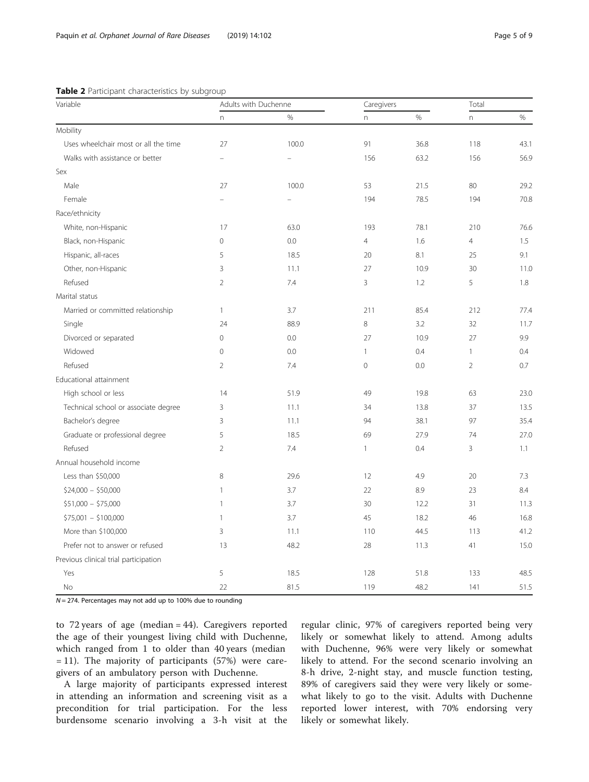# <span id="page-4-0"></span>Table 2 Participant characteristics by subgroup

| Variable                              | Adults with Duchenne |       | Caregivers     |      | Total          |      |
|---------------------------------------|----------------------|-------|----------------|------|----------------|------|
|                                       | n                    | $\%$  | n              | $\%$ | n              | $\%$ |
| Mobility                              |                      |       |                |      |                |      |
| Uses wheelchair most or all the time  | 27                   | 100.0 | 91             | 36.8 | 118            | 43.1 |
| Walks with assistance or better       |                      |       | 156            | 63.2 | 156            | 56.9 |
| Sex                                   |                      |       |                |      |                |      |
| Male                                  | 27                   | 100.0 | 53             | 21.5 | 80             | 29.2 |
| Female                                |                      |       | 194            | 78.5 | 194            | 70.8 |
| Race/ethnicity                        |                      |       |                |      |                |      |
| White, non-Hispanic                   | 17                   | 63.0  | 193            | 78.1 | 210            | 76.6 |
| Black, non-Hispanic                   | $\mathbf 0$          | 0.0   | $\overline{4}$ | 1.6  | $\overline{4}$ | 1.5  |
| Hispanic, all-races                   | 5                    | 18.5  | 20             | 8.1  | 25             | 9.1  |
| Other, non-Hispanic                   | 3                    | 11.1  | 27             | 10.9 | 30             | 11.C |
| Refused                               | $\overline{2}$       | 7.4   | 3              | 1.2  | 5              | 1.8  |
| Marital status                        |                      |       |                |      |                |      |
| Married or committed relationship     | $\mathbf{1}$         | 3.7   | 211            | 85.4 | 212            | 77.4 |
| Single                                | 24                   | 88.9  | 8              | 3.2  | 32             | 11.7 |
| Divorced or separated                 | $\mathbf 0$          | 0.0   | 27             | 10.9 | 27             | 9.9  |
| Widowed                               | 0                    | 0.0   | $\mathbf{1}$   | 0.4  | $\mathbf{1}$   | 0.4  |
| Refused                               | $\overline{2}$       | 7.4   | $\mathbf 0$    | 0.0  | $\overline{2}$ | 0.7  |
| Educational attainment                |                      |       |                |      |                |      |
| High school or less                   | 14                   | 51.9  | 49             | 19.8 | 63             | 23.0 |
| Technical school or associate degree  | 3                    | 11.1  | 34             | 13.8 | 37             | 13.5 |
| Bachelor's degree                     | 3                    | 11.1  | 94             | 38.1 | 97             | 35.4 |
| Graduate or professional degree       | 5                    | 18.5  | 69             | 27.9 | 74             | 27.0 |
| Refused                               | $\overline{2}$       | 7.4   | 1              | 0.4  | $\overline{3}$ | 1.1  |
| Annual household income               |                      |       |                |      |                |      |
| Less than \$50,000                    | 8                    | 29.6  | 12             | 4.9  | 20             | 7.3  |
| $$24,000 - $50,000$                   | $\mathbf{1}$         | 3.7   | 22             | 8.9  | 23             | 8.4  |
| $$51,000 - $75,000$                   | $\mathbf{1}$         | 3.7   | 30             | 12.2 | 31             | 11.3 |
| $$75,001 - $100,000$                  | $\mathbf{1}$         | 3.7   | 45             | 18.2 | 46             | 16.8 |
| More than \$100,000                   | 3                    | 11.1  | 110            | 44.5 | 113            | 41.2 |
| Prefer not to answer or refused       | 13                   | 48.2  | 28             | 11.3 | 41             | 15.0 |
| Previous clinical trial participation |                      |       |                |      |                |      |
| Yes                                   | 5                    | 18.5  | 128            | 51.8 | 133            | 48.5 |
| <b>No</b>                             | 22                   | 81.5  | 119            | 48.2 | 141            | 51.5 |

 $N = 274$ . Percentages may not add up to 100% due to rounding

to 72 years of age (median = 44). Caregivers reported the age of their youngest living child with Duchenne, which ranged from 1 to older than 40 years (median = 11). The majority of participants (57%) were caregivers of an ambulatory person with Duchenne.

A large majority of participants expressed interest in attending an information and screening visit as a precondition for trial participation. For the less burdensome scenario involving a 3-h visit at the

regular clinic, 97% of caregivers reported being very likely or somewhat likely to attend. Among adults with Duchenne, 96% were very likely or somewhat likely to attend. For the second scenario involving an 8-h drive, 2-night stay, and muscle function testing, 89% of caregivers said they were very likely or somewhat likely to go to the visit. Adults with Duchenne reported lower interest, with 70% endorsing very likely or somewhat likely.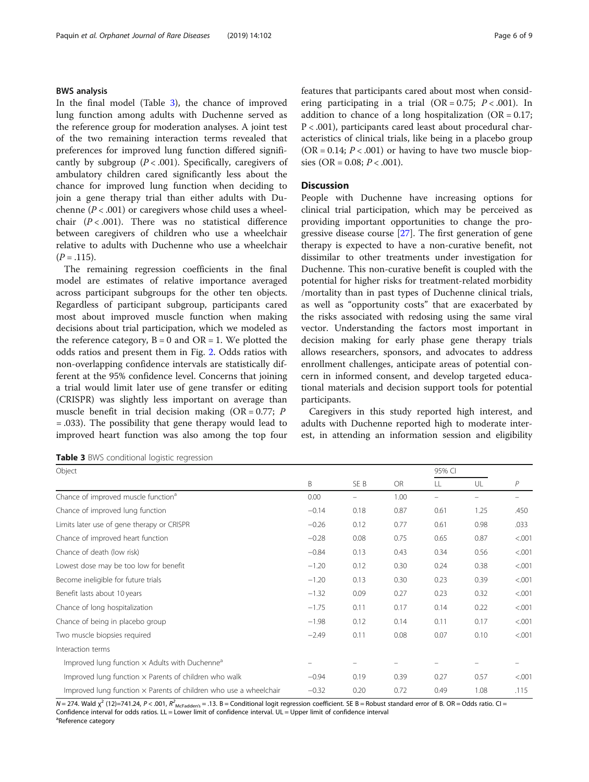# BWS analysis

In the final model (Table 3), the chance of improved lung function among adults with Duchenne served as the reference group for moderation analyses. A joint test of the two remaining interaction terms revealed that preferences for improved lung function differed significantly by subgroup  $(P < .001)$ . Specifically, caregivers of ambulatory children cared significantly less about the chance for improved lung function when deciding to join a gene therapy trial than either adults with Duchenne ( $P < .001$ ) or caregivers whose child uses a wheelchair  $(P < .001)$ . There was no statistical difference between caregivers of children who use a wheelchair relative to adults with Duchenne who use a wheelchair  $(P = .115)$ .

The remaining regression coefficients in the final model are estimates of relative importance averaged across participant subgroups for the other ten objects. Regardless of participant subgroup, participants cared most about improved muscle function when making decisions about trial participation, which we modeled as the reference category,  $B = 0$  and  $OR = 1$ . We plotted the odds ratios and present them in Fig. [2.](#page-6-0) Odds ratios with non-overlapping confidence intervals are statistically different at the 95% confidence level. Concerns that joining a trial would limit later use of gene transfer or editing (CRISPR) was slightly less important on average than muscle benefit in trial decision making  $(OR = 0.77; P)$ = .033). The possibility that gene therapy would lead to improved heart function was also among the top four

|  |  |  | Table 3 BWS conditional logistic regression |  |  |
|--|--|--|---------------------------------------------|--|--|
|--|--|--|---------------------------------------------|--|--|

features that participants cared about most when considering participating in a trial (OR =  $0.75$ ;  $P < .001$ ). In addition to chance of a long hospitalization  $(OR = 0.17)$ ; P < .001), participants cared least about procedural characteristics of clinical trials, like being in a placebo group  $(OR = 0.14; P < .001)$  or having to have two muscle biopsies (OR = 0.08;  $P < .001$ ).

# **Discussion**

People with Duchenne have increasing options for clinical trial participation, which may be perceived as providing important opportunities to change the progressive disease course [[27\]](#page-8-0). The first generation of gene therapy is expected to have a non-curative benefit, not dissimilar to other treatments under investigation for Duchenne. This non-curative benefit is coupled with the potential for higher risks for treatment-related morbidity /mortality than in past types of Duchenne clinical trials, as well as "opportunity costs" that are exacerbated by the risks associated with redosing using the same viral vector. Understanding the factors most important in decision making for early phase gene therapy trials allows researchers, sponsors, and advocates to address enrollment challenges, anticipate areas of potential concern in informed consent, and develop targeted educational materials and decision support tools for potential participants.

Caregivers in this study reported high interest, and adults with Duchenne reported high to moderate interest, in attending an information session and eligibility

| Object                                                                   |         |      |           | 95% CI |      |              |
|--------------------------------------------------------------------------|---------|------|-----------|--------|------|--------------|
|                                                                          | Β       | SE B | <b>OR</b> | LL.    | UL   | $\mathsf{P}$ |
| Chance of improved muscle function <sup>a</sup>                          | 0.00    | -    | 1.00      | -      | -    |              |
| Chance of improved lung function                                         | $-0.14$ | 0.18 | 0.87      | 0.61   | 1.25 | .450         |
| Limits later use of gene therapy or CRISPR                               | $-0.26$ | 0.12 | 0.77      | 0.61   | 0.98 | .033         |
| Chance of improved heart function                                        | $-0.28$ | 0.08 | 0.75      | 0.65   | 0.87 | < 0.001      |
| Chance of death (low risk)                                               | $-0.84$ | 0.13 | 0.43      | 0.34   | 0.56 | < .001       |
| Lowest dose may be too low for benefit                                   | $-1.20$ | 0.12 | 0.30      | 0.24   | 0.38 | < .001       |
| Become ineligible for future trials                                      | $-1.20$ | 0.13 | 0.30      | 0.23   | 0.39 | < 0.001      |
| Benefit lasts about 10 years                                             | $-1.32$ | 0.09 | 0.27      | 0.23   | 0.32 | < .001       |
| Chance of long hospitalization                                           | $-1.75$ | 0.11 | 0.17      | 0.14   | 0.22 | < .001       |
| Chance of being in placebo group                                         | $-1.98$ | 0.12 | 0.14      | 0.11   | 0.17 | < .001       |
| Two muscle biopsies required                                             | $-2.49$ | 0.11 | 0.08      | 0.07   | 0.10 | < .001       |
| Interaction terms                                                        |         |      |           |        |      |              |
| Improved lung function $\times$ Adults with Duchenne <sup>a</sup>        |         |      |           |        |      |              |
| Improved lung function $\times$ Parents of children who walk             | $-0.94$ | 0.19 | 0.39      | 0.27   | 0.57 | < .001       |
| Improved lung function $\times$ Parents of children who use a wheelchair | $-0.32$ | 0.20 | 0.72      | 0.49   | 1.08 | .115         |

 $N$  = 274. Wald  $\chi^2$  (12)=741.24, P < .001,  $R^2_{\text{McFadedens}}$  = .13. B = Conditional logit regression coefficient. SE B = Robust standard error of B. OR = Odds ratio. Cl = Confidence interval for odds ratios. LL = Lower limit of confidence interval. UL = Upper limit of confidence interval <sup>a</sup>Reference category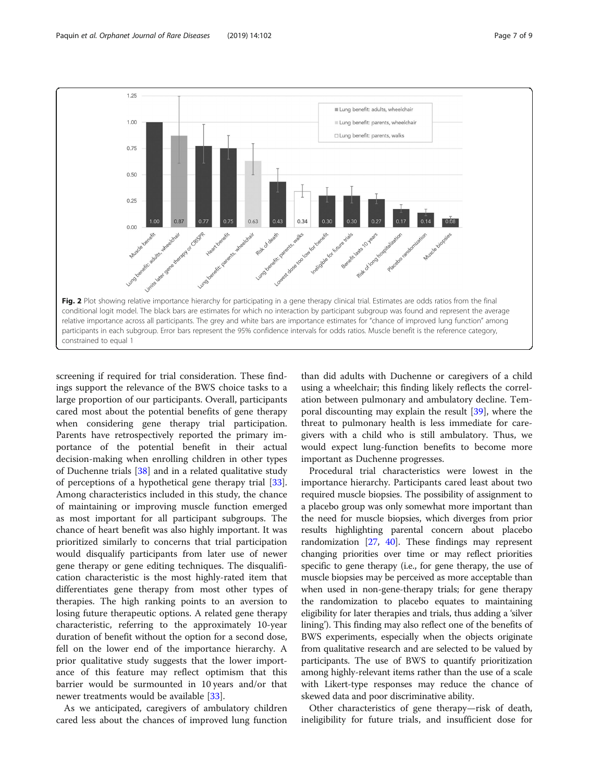<span id="page-6-0"></span>

screening if required for trial consideration. These findings support the relevance of the BWS choice tasks to a large proportion of our participants. Overall, participants cared most about the potential benefits of gene therapy when considering gene therapy trial participation. Parents have retrospectively reported the primary importance of the potential benefit in their actual decision-making when enrolling children in other types of Duchenne trials [\[38](#page-8-0)] and in a related qualitative study of perceptions of a hypothetical gene therapy trial [\[33](#page-8-0)]. Among characteristics included in this study, the chance of maintaining or improving muscle function emerged as most important for all participant subgroups. The chance of heart benefit was also highly important. It was prioritized similarly to concerns that trial participation would disqualify participants from later use of newer gene therapy or gene editing techniques. The disqualification characteristic is the most highly-rated item that differentiates gene therapy from most other types of therapies. The high ranking points to an aversion to losing future therapeutic options. A related gene therapy characteristic, referring to the approximately 10-year duration of benefit without the option for a second dose, fell on the lower end of the importance hierarchy. A prior qualitative study suggests that the lower importance of this feature may reflect optimism that this barrier would be surmounted in 10 years and/or that newer treatments would be available [\[33](#page-8-0)].

As we anticipated, caregivers of ambulatory children cared less about the chances of improved lung function

than did adults with Duchenne or caregivers of a child using a wheelchair; this finding likely reflects the correlation between pulmonary and ambulatory decline. Temporal discounting may explain the result [\[39\]](#page-8-0), where the threat to pulmonary health is less immediate for caregivers with a child who is still ambulatory. Thus, we would expect lung-function benefits to become more important as Duchenne progresses.

Procedural trial characteristics were lowest in the importance hierarchy. Participants cared least about two required muscle biopsies. The possibility of assignment to a placebo group was only somewhat more important than the need for muscle biopsies, which diverges from prior results highlighting parental concern about placebo randomization  $[27, 40]$  $[27, 40]$  $[27, 40]$ . These findings may represent changing priorities over time or may reflect priorities specific to gene therapy (i.e., for gene therapy, the use of muscle biopsies may be perceived as more acceptable than when used in non-gene-therapy trials; for gene therapy the randomization to placebo equates to maintaining eligibility for later therapies and trials, thus adding a 'silver lining'). This finding may also reflect one of the benefits of BWS experiments, especially when the objects originate from qualitative research and are selected to be valued by participants. The use of BWS to quantify prioritization among highly-relevant items rather than the use of a scale with Likert-type responses may reduce the chance of skewed data and poor discriminative ability.

Other characteristics of gene therapy—risk of death, ineligibility for future trials, and insufficient dose for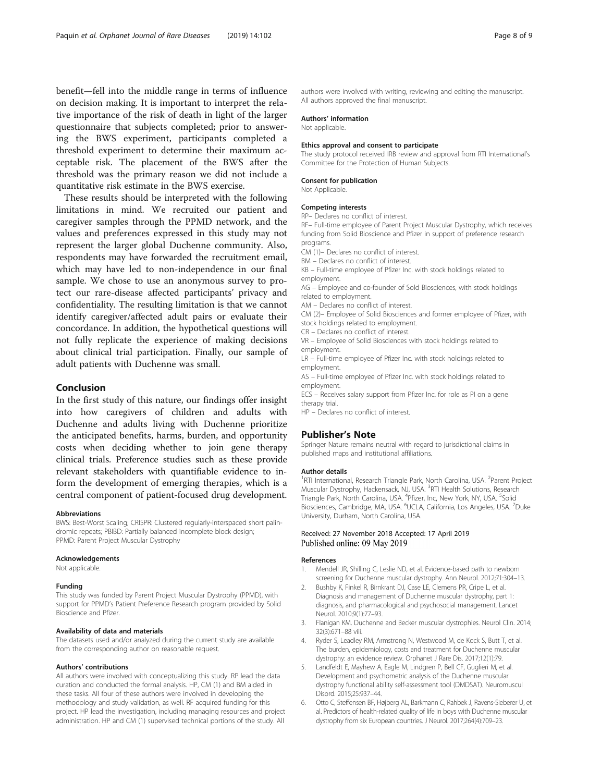<span id="page-7-0"></span>benefit—fell into the middle range in terms of influence on decision making. It is important to interpret the relative importance of the risk of death in light of the larger questionnaire that subjects completed; prior to answering the BWS experiment, participants completed a threshold experiment to determine their maximum acceptable risk. The placement of the BWS after the threshold was the primary reason we did not include a quantitative risk estimate in the BWS exercise.

These results should be interpreted with the following limitations in mind. We recruited our patient and caregiver samples through the PPMD network, and the values and preferences expressed in this study may not represent the larger global Duchenne community. Also, respondents may have forwarded the recruitment email, which may have led to non-independence in our final sample. We chose to use an anonymous survey to protect our rare-disease affected participants' privacy and confidentiality. The resulting limitation is that we cannot identify caregiver/affected adult pairs or evaluate their concordance. In addition, the hypothetical questions will not fully replicate the experience of making decisions about clinical trial participation. Finally, our sample of adult patients with Duchenne was small.

# Conclusion

In the first study of this nature, our findings offer insight into how caregivers of children and adults with Duchenne and adults living with Duchenne prioritize the anticipated benefits, harms, burden, and opportunity costs when deciding whether to join gene therapy clinical trials. Preference studies such as these provide relevant stakeholders with quantifiable evidence to inform the development of emerging therapies, which is a central component of patient-focused drug development.

#### Abbreviations

BWS: Best-Worst Scaling; CRISPR: Clustered regularly-interspaced short palindromic repeats; PBIBD: Partially balanced incomplete block design; PPMD: Parent Project Muscular Dystrophy

#### Acknowledgements

Not applicable.

# Funding

This study was funded by Parent Project Muscular Dystrophy (PPMD), with support for PPMD's Patient Preference Research program provided by Solid Bioscience and Pfizer.

# Availability of data and materials

The datasets used and/or analyzed during the current study are available from the corresponding author on reasonable request.

#### Authors' contributions

All authors were involved with conceptualizing this study. RP lead the data curation and conducted the formal analysis. HP, CM (1) and BM aided in these tasks. All four of these authors were involved in developing the methodology and study validation, as well. RF acquired funding for this project. HP lead the investigation, including managing resources and project administration. HP and CM (1) supervised technical portions of the study. All

authors were involved with writing, reviewing and editing the manuscript. All authors approved the final manuscript.

#### Authors' information

Not applicable.

#### Ethics approval and consent to participate

The study protocol received IRB review and approval from RTI International's Committee for the Protection of Human Subjects.

# Consent for publication

Not Applicable.

#### Competing interests

RP– Declares no conflict of interest.

RF– Full-time employee of Parent Project Muscular Dystrophy, which receives funding from Solid Bioscience and Pfizer in support of preference research programs.

CM (1)– Declares no conflict of interest.

BM – Declares no conflict of interest.

KB – Full-time employee of Pfizer Inc. with stock holdings related to employment.

AG – Employee and co-founder of Sold Biosciences, with stock holdings related to employment.

AM – Declares no conflict of interest.

CM (2)– Employee of Solid Biosciences and former employee of Pfizer, with stock holdings related to employment.

CR – Declares no conflict of interest.

VR – Employee of Solid Biosciences with stock holdings related to employment.

LR – Full-time employee of Pfizer Inc. with stock holdings related to employment.

AS – Full-time employee of Pfizer Inc. with stock holdings related to employment.

ECS – Receives salary support from Pfizer Inc. for role as PI on a gene therapy trial.

HP – Declares no conflict of interest.

# Publisher's Note

Springer Nature remains neutral with regard to jurisdictional claims in published maps and institutional affiliations.

#### Author details

<sup>1</sup>RTI International, Research Triangle Park, North Carolina, USA. <sup>2</sup>Parent Project Muscular Dystrophy, Hackensack, NJ, USA. <sup>3</sup>RTI Health Solutions, Research Triangle Park, North Carolina, USA. <sup>4</sup>Pfizer, Inc, New York, NY, USA. <sup>5</sup>Solid Biosciences, Cambridge, MA, USA. <sup>6</sup>UCLA, California, Los Angeles, USA. <sup>7</sup>Duke University, Durham, North Carolina, USA.

### Received: 27 November 2018 Accepted: 17 April 2019 Published online: 09 May 2019

#### References

- 1. Mendell JR, Shilling C, Leslie ND, et al. Evidence-based path to newborn screening for Duchenne muscular dystrophy. Ann Neurol. 2012;71:304–13.
- 2. Bushby K, Finkel R, Birnkrant DJ, Case LE, Clemens PR, Cripe L, et al. Diagnosis and management of Duchenne muscular dystrophy, part 1: diagnosis, and pharmacological and psychosocial management. Lancet Neurol. 2010;9(1):77–93.
- 3. Flanigan KM. Duchenne and Becker muscular dystrophies. Neurol Clin. 2014; 32(3):671–88 viii.
- 4. Ryder S, Leadley RM, Armstrong N, Westwood M, de Kock S, Butt T, et al. The burden, epidemiology, costs and treatment for Duchenne muscular dystrophy: an evidence review. Orphanet J Rare Dis. 2017;12(1):79.
- 5. Landfeldt E, Mayhew A, Eagle M, Lindgren P, Bell CF, Guglieri M, et al. Development and psychometric analysis of the Duchenne muscular dystrophy functional ability self-assessment tool (DMDSAT). Neuromuscul Disord. 2015;25:937–44.
- 6. Otto C, Steffensen BF, Højberg AL, Barkmann C, Rahbek J, Ravens-Sieberer U, et al. Predictors of health-related quality of life in boys with Duchenne muscular dystrophy from six European countries. J Neurol. 2017;264(4):709–23.